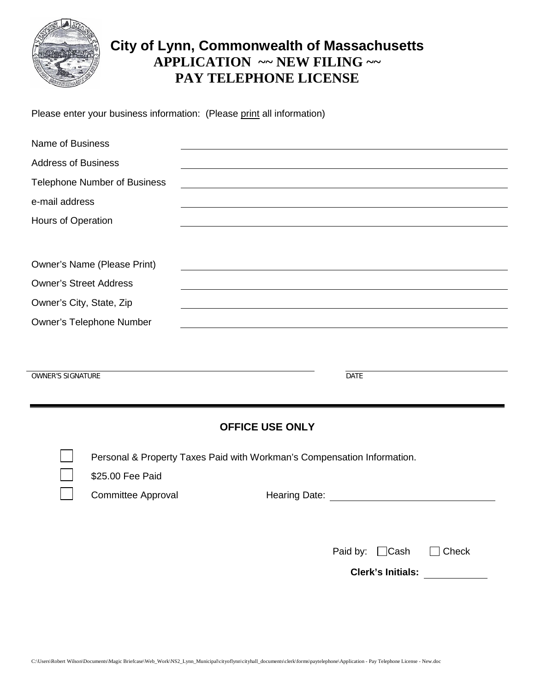

# **City of Lynn, Commonwealth of Massachusetts APPLICATION ~~ NEW FILING ~~ PAY TELEPHONE LICENSE**

Please enter your business information: (Please print all information)

| Name of Business                    |  |
|-------------------------------------|--|
| <b>Address of Business</b>          |  |
| <b>Telephone Number of Business</b> |  |
| e-mail address                      |  |
| Hours of Operation                  |  |
|                                     |  |
| Owner's Name (Please Print)         |  |
| <b>Owner's Street Address</b>       |  |
| Owner's City, State, Zip            |  |
| Owner's Telephone Number            |  |
|                                     |  |

OWNER'S SIGNATURE **DATE** 

#### **OFFICE USE ONLY**

Personal & Property Taxes Paid with Workman's Compensation Information.

\$25.00 Fee Paid

Committee Approval **Hearing Date:** Hearing Date:

Paid by:  $\Box$ Cash  $\Box$  Check

**Clerk's Initials:**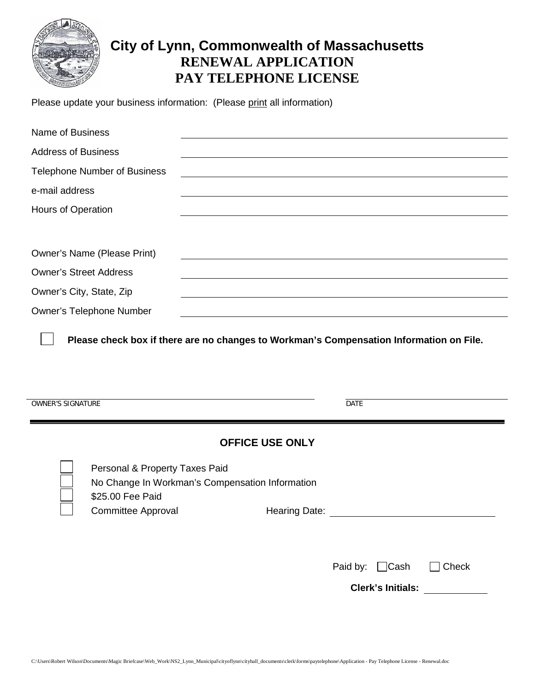

# **City of Lynn, Commonwealth of Massachusetts RENEWAL APPLICATION PAY TELEPHONE LICENSE**

Please update your business information: (Please print all information)

| Name of Business                                                                                                                   |                          |       |
|------------------------------------------------------------------------------------------------------------------------------------|--------------------------|-------|
| <b>Address of Business</b>                                                                                                         |                          |       |
| <b>Telephone Number of Business</b>                                                                                                |                          |       |
| e-mail address                                                                                                                     |                          |       |
| Hours of Operation                                                                                                                 |                          |       |
| Owner's Name (Please Print)                                                                                                        |                          |       |
| <b>Owner's Street Address</b>                                                                                                      |                          |       |
| Owner's City, State, Zip                                                                                                           |                          |       |
| <b>Owner's Telephone Number</b>                                                                                                    |                          |       |
| <b>OWNER'S SIGNATURE</b>                                                                                                           | DATE                     |       |
|                                                                                                                                    | <b>OFFICE USE ONLY</b>   |       |
| Personal & Property Taxes Paid<br>No Change In Workman's Compensation Information<br>\$25.00 Fee Paid<br><b>Committee Approval</b> | Hearing Date:            |       |
|                                                                                                                                    | Paid by: $\Box$ Cash     | Check |
|                                                                                                                                    | <b>Clerk's Initials:</b> |       |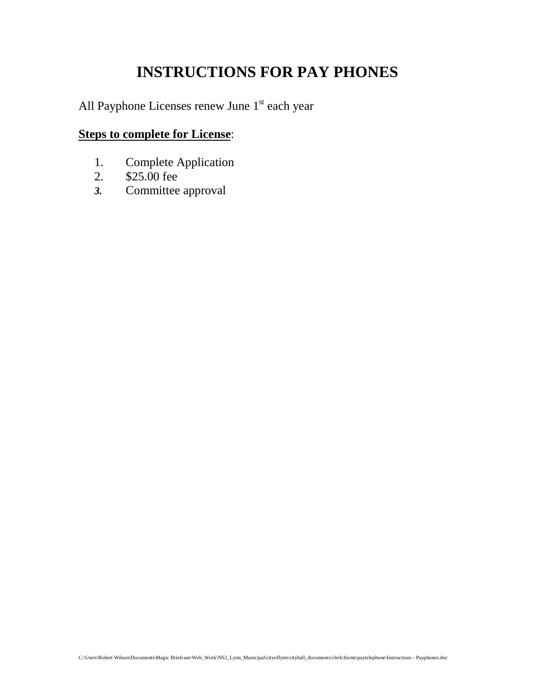# **INSTRUCTIONS FOR PAY PHONES**

All Payphone Licenses renew June 1<sup>st</sup> each year

### **Steps to complete for License**:

- 1. Complete Application
- 2. \$25.00 fee
- *3.* Committee approval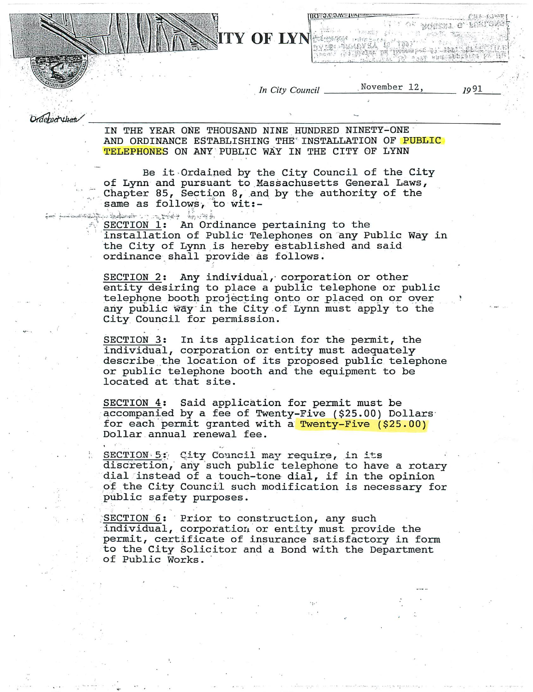In City Council

**ITY OF LYNESSAN** 

**ILIO JAJOAN LUU** 

TERSHAN HARLANDARI RANG

All be been paid in addition

November 12,

 $1991$ 

i pakë shqiptarët q<sub>ës</sub> q<sub>ë</sub>

i iliyor masar e marte<br>Tanahiya

Ordered that

IN THE YEAR ONE THOUSAND NINE HUNDRED NINETY-ONE AND ORDINANCE ESTABLISHING THE INSTALLATION OF PUBLIC TELEPHONES ON ANY PUBLIC WAY IN THE CITY OF LYNN

Be it Ordained by the City Council of the City of Lynn and pursuant to Massachusetts General Laws, Chapter 85, Section 8, and by the authority of the same as follows, to wit:-

وأوجابه والمنافيح يتدارد الصحاحيل وب SECTION 1: An Ordinance pertaining to the installation of Public Telephones on any Public Way in the City of Lynn is hereby established and said ordinance shall provide as follows.

SECTION 2: Any individual, corporation or other entity desiring to place a public telephone or public telephone booth projecting onto or placed on or over any public way in the City of Lynn must apply to the City Council for permission.

SECTION 3: In its application for the permit, the individual, corporation or entity must adequately describe the location of its proposed public telephone or public telephone booth and the equipment to be located at that site.

SECTION 4: Said application for permit must be accompanied by a fee of Twenty-Five (\$25.00) Dollars for each permit granted with a Twenty-Five (\$25.00) Dollar annual renewal fee.

SECTION 5: City Council may require, in its discretion, any such public telephone to have a rotary dial instead of a touch-tone dial, if in the opinion of the City Council such modification is necessary for public safety purposes.

SECTION 6: Prior to construction, any such individual, corporation or entity must provide the permit, certificate of insurance satisfactory in form to the City Solicitor and a Bond with the Department of Public Works.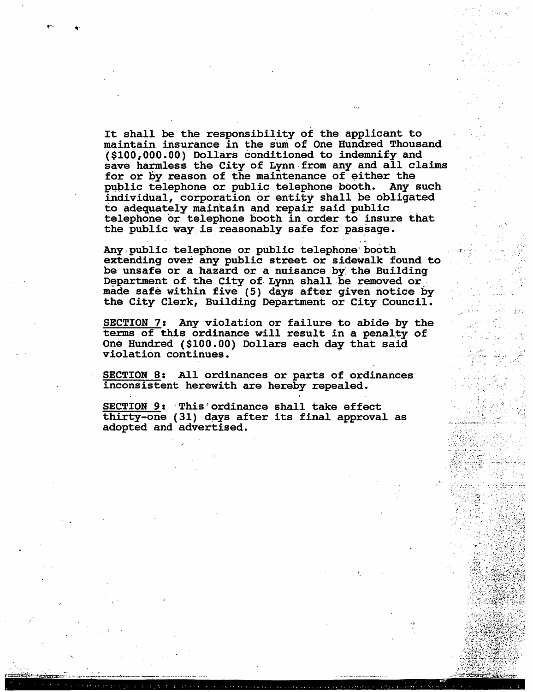It shall be the responsibility of the applicant to maintain insurance in the sum of One Hundred Thousand (\$100,000.00) Dollars conditioned to indemnify and save harmless the City of Lynn from any and all claims for or by reason of the maintenance of either the public telephone or public telephone booth. Any such individual, corporation or entity shall be obligated to adequately maintain and repair said public telephone or telephone booth in order to insure that the public way is reasonably safe for passage.

Any public telephone or public telephone booth extending over any public street or sidewalk found to be unsafe or a hazard or a nuisance by the Building Department of the City of Lynn shall be removed or made safe within five (5) days after given notice by the City Clerk, Building Department or City Council.

SECTION 7: Any violation or failure to abide by the terms of this ordinance will result in a penalty of One Hundred (\$100.00) Dollars each day that said violation continues.

SECTION 8: All ordinances or parts of ordinances inconsistent herewith are hereby repealed.

SECTION 9: This ordinance shall take effect thirty-one (31) days after its final approval as adopted and advertised.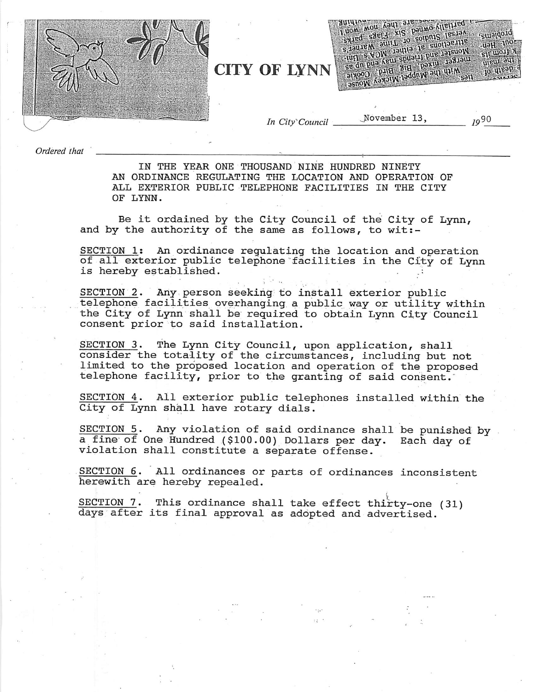

**CITY OF LYNN** 

From won your signs sited sacial xis paumo-viletited Actesione and Computer of Capture States States  $C111319010$ -uaH :1noz se dn pua kem spuaril pue raisnom S1I WOJJ N atigoo pula alg paxiu 1981au uleur aus MID IDG Waddow Strong Washington  $10$   $M_{BS}$ 

In City' Council

November 13.

 $10^{90}$ 

Ordered that

IN THE YEAR ONE THOUSAND NINE HUNDRED NINETY AN ORDINANCE REGULATING THE LOCATION AND OPERATION OF ALL EXTERIOR PUBLIC TELEPHONE FACILITIES IN THE CITY OF LYNN.

Be it ordained by the City Council of the City of Lynn, and by the authority of the same as follows, to wit:-

SECTION 1: An ordinance regulating the location and operation of all exterior public telephone facilities in the City of Lynn is hereby established.

Any person seeking to install exterior public SECTION 2. telephone facilities overhanging a public way or utility within the City of Lynn shall be required to obtain Lynn City Council consent prior to said installation.

SECTION 3. The Lynn City Council, upon application, shall consider the totality of the circumstances, including but not limited to the proposed location and operation of the proposed telephone facility, prior to the granting of said consent.

SECTION 4. All exterior public telephones installed within the City of Lynn shall have rotary dials.

SECTION 5. Any violation of said ordinance shall be punished by a fine of One Hundred (\$100.00) Dollars per day. Each day of violation shall constitute a separate offense.

 $\epsilon_{\pm\pm}$  :

SECTION 6. All ordinances or parts of ordinances inconsistent herewith are hereby repealed.

SECTION 7. This ordinance shall take effect thirty-one (31) days after its final approval as adopted and advertised.